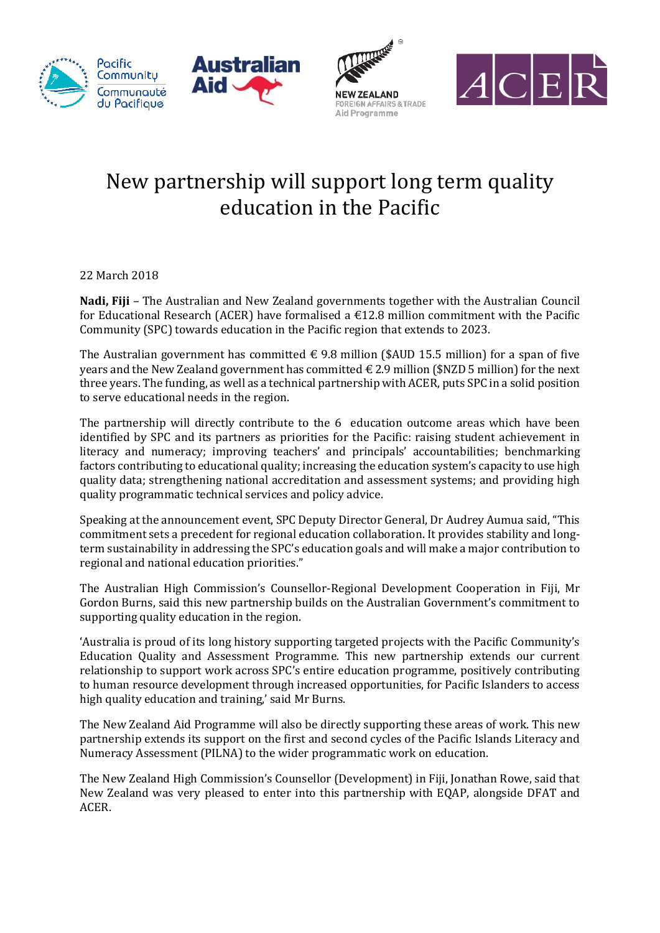







## New partnership will support long term quality education in the Pacific

22 March 2018

**Nadi, Fiji** – The Australian and New Zealand governments together with the Australian Council for Educational Research (ACER) have formalised a €12.8 million commitment with the Pacific Community (SPC) towards education in the Pacific region that extends to 2023.

The Australian government has committed  $\epsilon$  9.8 million (\$AUD 15.5 million) for a span of five years and the New Zealand government has committed  $\epsilon$  2.9 million (\$NZD 5 million) for the next three years. The funding, as well as a technical partnership with ACER, puts SPC in a solid position to serve educational needs in the region.

The partnership will directly contribute to the 6 education outcome areas which have been identified by SPC and its partners as priorities for the Pacific: raising student achievement in literacy and numeracy; improving teachers' and principals' accountabilities; benchmarking factors contributing to educational quality; increasing the education system's capacity to use high quality data; strengthening national accreditation and assessment systems; and providing high quality programmatic technical services and policy advice.

Speaking at the announcement event, SPC Deputy Director General, Dr Audrey Aumua said, "This commitment sets a precedent for regional education collaboration. It provides stability and longterm sustainability in addressing the SPC's education goals and will make a major contribution to regional and national education priorities."

The Australian High Commission's Counsellor-Regional Development Cooperation in Fiji, Mr Gordon Burns, said this new partnership builds on the Australian Government's commitment to supporting quality education in the region.

'Australia is proud of its long history supporting targeted projects with the Pacific Community's Education Quality and Assessment Programme. This new partnership extends our current relationship to support work across SPC's entire education programme, positively contributing to human resource development through increased opportunities, for Pacific Islanders to access high quality education and training,' said Mr Burns.

The New Zealand Aid Programme will also be directly supporting these areas of work. This new partnership extends its support on the first and second cycles of the Pacific Islands Literacy and Numeracy Assessment (PILNA) to the wider programmatic work on education.

The New Zealand High Commission's Counsellor (Development) in Fiji, Jonathan Rowe, said that New Zealand was very pleased to enter into this partnership with EQAP, alongside DFAT and ACER.